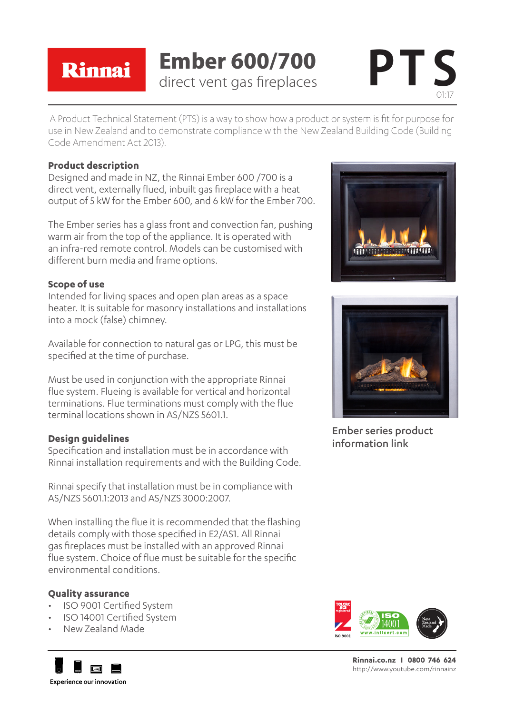### Rinnai

## **Ember 600/700**<br>direct vent gas fireplaces



A Product Technical Statement (PTS) is a way to show how a product or system is fit for purpose for use in New Zealand and to demonstrate compliance with the New Zealand Building Code (Building Code Amendment Act 2013).

### **Product description**

Designed and made in NZ, the Rinnai Ember 600 /700 is a direct vent, externally flued, inbuilt gas fireplace with a heat output of 5 kW for the Ember 600, and 6 kW for the Ember 700.

The Ember series has a glass front and convection fan, pushing warm air from the top of the appliance. It is operated with an infra-red remote control. Models can be customised with different burn media and frame options.

### **Scope of use**

Intended for living spaces and open plan areas as a space heater. It is suitable for masonry installations and installations into a mock (false) chimney.

Available for connection to natural gas or LPG, this must be specified at the time of purchase.

Must be used in conjunction with the appropriate Rinnai flue system. Flueing is available for vertical and horizontal terminations. Flue terminations must comply with the flue terminal locations shown in AS/NZS 5601.1.

### **Design guidelines**

Specification and installation must be in accordance with Rinnai installation requirements and with the Building Code.

Rinnai specify that installation must be in compliance with AS/NZS 5601.1:2013 and AS/NZS 3000:2007.

When installing the flue it is recommended that the flashing details comply with those specified in E2/AS1. All Rinnai gas fireplaces must be installed with an approved Rinnai flue system. Choice of flue must be suitable for the specific environmental conditions.

### **Quality assurance**

- • ISO 9001 Certified System
- ISO 14001 Certified System
- • New Zealand Made







Ember series product information link



**Rinnai.co.nz I 0800 746 624** http://www.youtube.com/rinnainz